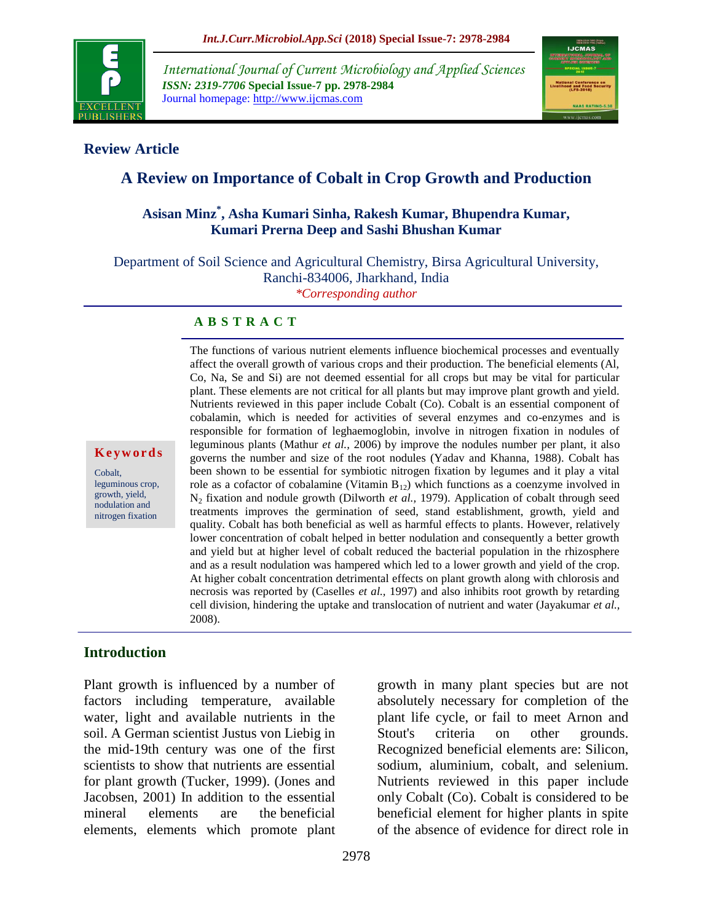

*International Journal of Current Microbiology and Applied Sciences ISSN: 2319-7706* **Special Issue-7 pp. 2978-2984** Journal homepage: http://www.ijcmas.com



### **Review Article**

# **A Review on Importance of Cobalt in Crop Growth and Production**

## **Asisan Minz\* , Asha Kumari Sinha, Rakesh Kumar, Bhupendra Kumar, Kumari Prerna Deep and Sashi Bhushan Kumar**

Department of Soil Science and Agricultural Chemistry, Birsa Agricultural University, Ranchi-834006, Jharkhand, India *\*Corresponding author*

#### **A B S T R A C T**

The functions of various nutrient elements influence biochemical processes and eventually affect the overall growth of various crops and their production. The beneficial elements (Al, Co, Na, Se and Si) are not deemed essential for all crops but may be vital for particular plant. These elements are not critical for all plants but may improve plant growth and yield. Nutrients reviewed in this paper include Cobalt (Co). Cobalt is an essential component of cobalamin, which is needed for activities of several enzymes and co-enzymes and is responsible for formation of leghaemoglobin, involve in nitrogen fixation in nodules of leguminous plants (Mathur *et al.,* 2006) by improve the nodules number per plant, it also governs the number and size of the root nodules (Yadav and Khanna, 1988). Cobalt has been shown to be essential for symbiotic nitrogen fixation by legumes and it play a vital role as a cofactor of cobalamine (Vitamin  $B_{12}$ ) which functions as a coenzyme involved in N<sup>2</sup> fixation and nodule growth (Dilworth *et al.,* 1979). Application of cobalt through seed treatments improves the germination of seed, stand establishment, growth, yield and quality. Cobalt has both beneficial as well as harmful effects to plants. However, relatively lower concentration of cobalt helped in better nodulation and consequently a better growth and yield but at higher level of cobalt reduced the bacterial population in the rhizosphere and as a result nodulation was hampered which led to a lower growth and yield of the crop. At higher cobalt concentration detrimental effects on plant growth along with chlorosis and necrosis was reported by (Caselles *et al.,* 1997) and also inhibits root growth by retarding cell division, hindering the uptake and translocation of nutrient and water (Jayakumar *et al.,* 2008).

### **Introduction**

**K e y w o r d s**

Cobalt, leguminous crop, growth, yield, nodulation and nitrogen fixation

Plant growth is influenced by a number of factors including temperature, available water, light and available nutrients in the soil. A German scientist Justus von Liebig in the mid-19th century was one of the first scientists to show that nutrients are essential for plant growth (Tucker, 1999). (Jones and Jacobsen, 2001) In addition to the essential mineral elements are the beneficial elements, elements which promote plant

growth in many plant species but are not absolutely necessary for completion of the plant life cycle, or fail to meet Arnon and Stout's criteria on other grounds. Recognized beneficial elements are: Silicon, sodium, aluminium, cobalt, and selenium. Nutrients reviewed in this paper include only Cobalt (Co). Cobalt is considered to be beneficial element for higher plants in spite of the absence of evidence for direct role in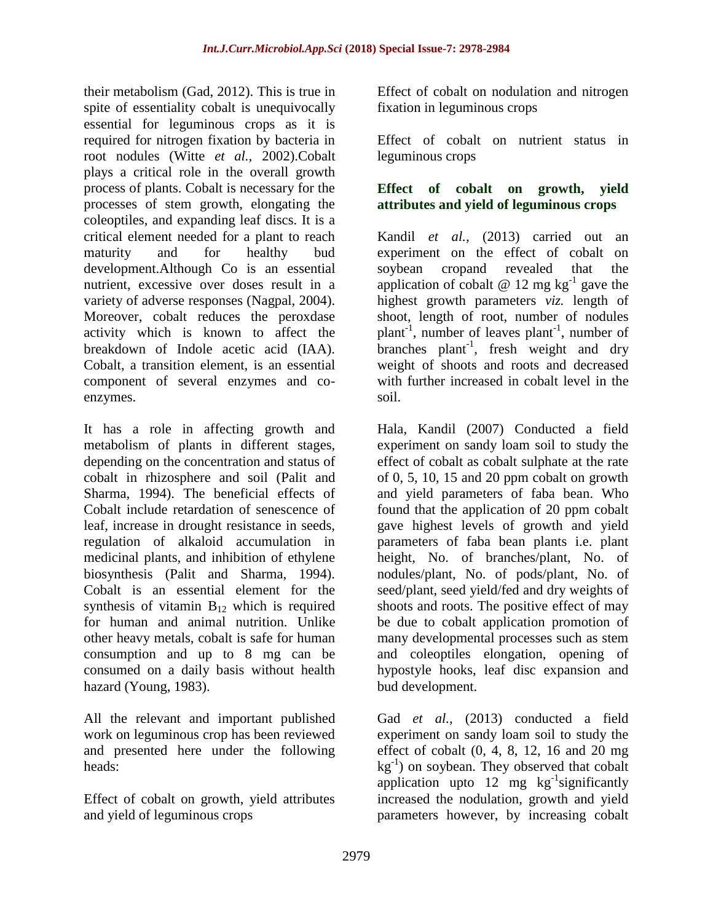their metabolism (Gad, 2012). This is true in spite of essentiality cobalt is unequivocally essential for leguminous crops as it is required for nitrogen fixation by bacteria in root nodules (Witte *et al.,* 2002).Cobalt plays a critical role in the overall growth process of plants. Cobalt is necessary for the processes of stem growth, elongating the coleoptiles, and expanding leaf discs. It is a critical element needed for a plant to reach maturity and for healthy bud development.Although Co is an essential nutrient, excessive over doses result in a variety of adverse responses (Nagpal, 2004). Moreover, cobalt reduces the peroxdase activity which is known to affect the breakdown of Indole acetic acid (IAA). Cobalt, a transition element, is an essential component of several enzymes and coenzymes.

It has a role in affecting growth and metabolism of plants in different stages, depending on the concentration and status of cobalt in rhizosphere and soil (Palit and Sharma, 1994). The beneficial effects of Cobalt include retardation of senescence of leaf, increase in drought resistance in seeds, regulation of alkaloid accumulation in medicinal plants, and inhibition of ethylene biosynthesis (Palit and Sharma, 1994). Cobalt is an essential element for the synthesis of vitamin  $B_{12}$  which is required for human and animal nutrition. Unlike other heavy metals, cobalt is safe for human consumption and up to 8 mg can be consumed on a daily basis without health hazard (Young, 1983).

All the relevant and important published work on leguminous crop has been reviewed and presented here under the following heads:

Effect of cobalt on growth, yield attributes and yield of leguminous crops

Effect of cobalt on nodulation and nitrogen fixation in leguminous crops

Effect of cobalt on nutrient status in leguminous crops

## **Effect of cobalt on growth, yield attributes and yield of leguminous crops**

Kandil *et al.,* (2013) carried out an experiment on the effect of cobalt on soybean cropand revealed that the application of cobalt  $\omega$  12 mg kg<sup>-1</sup> gave the highest growth parameters *viz.* length of shoot, length of root, number of nodules plant<sup>-1</sup>, number of leaves plant<sup>-1</sup>, number of branches  $plant^{-1}$ , fresh weight and dry weight of shoots and roots and decreased with further increased in cobalt level in the soil.

Hala, Kandil (2007) Conducted a field experiment on sandy loam soil to study the effect of cobalt as cobalt sulphate at the rate of 0, 5, 10, 15 and 20 ppm cobalt on growth and yield parameters of faba bean. Who found that the application of 20 ppm cobalt gave highest levels of growth and yield parameters of faba bean plants i.e. plant height, No. of branches/plant, No. of nodules/plant, No. of pods/plant, No. of seed/plant, seed yield/fed and dry weights of shoots and roots. The positive effect of may be due to cobalt application promotion of many developmental processes such as stem and coleoptiles elongation, opening of hypostyle hooks, leaf disc expansion and bud development.

Gad *et al.,* (2013) conducted a field experiment on sandy loam soil to study the effect of cobalt (0, 4, 8, 12, 16 and 20 mg  $kg^{-1}$ ) on soybean. They observed that cobalt application upto  $12 \text{ mg}$  kg<sup>-1</sup>significantly increased the nodulation, growth and yield parameters however, by increasing cobalt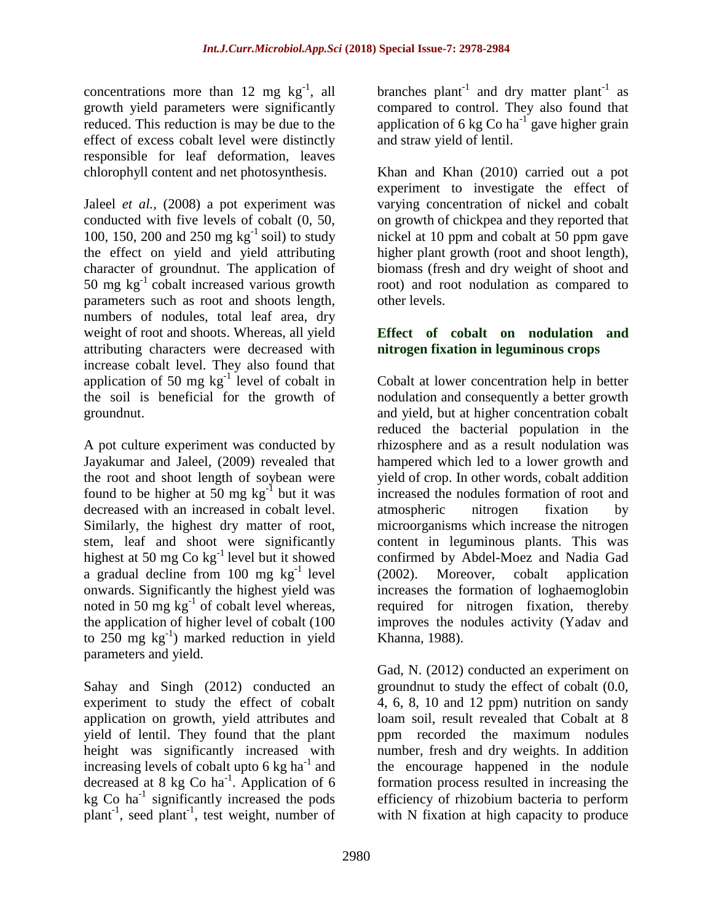concentrations more than 12 mg  $kg^{-1}$ , all growth yield parameters were significantly reduced. This reduction is may be due to the effect of excess cobalt level were distinctly responsible for leaf deformation, leaves chlorophyll content and net photosynthesis.

Jaleel *et al.,* (2008) a pot experiment was conducted with five levels of cobalt (0, 50, 100, 150, 200 and 250 mg  $kg^{-1}$  soil) to study the effect on yield and yield attributing character of groundnut. The application of 50 mg  $kg^{-1}$  cobalt increased various growth parameters such as root and shoots length, numbers of nodules, total leaf area, dry weight of root and shoots. Whereas, all yield attributing characters were decreased with increase cobalt level. They also found that application of 50 mg  $kg^{-1}$  level of cobalt in the soil is beneficial for the growth of groundnut.

A pot culture experiment was conducted by Jayakumar and Jaleel, (2009) revealed that the root and shoot length of soybean were found to be higher at  $50 \text{ mg kg}^{-1}$  but it was decreased with an increased in cobalt level. Similarly, the highest dry matter of root, stem, leaf and shoot were significantly highest at 50 mg  $\text{Co}\ \text{kg}^{-1}$  level but it showed a gradual decline from  $100$  mg  $kg^{-1}$  level onwards. Significantly the highest yield was noted in 50 mg  $kg^{-1}$  of cobalt level whereas, the application of higher level of cobalt (100 to  $250 \text{ mg} \text{ kg}^{-1}$ ) marked reduction in yield parameters and yield.

Sahay and Singh (2012) conducted an experiment to study the effect of cobalt application on growth, yield attributes and yield of lentil. They found that the plant height was significantly increased with increasing levels of cobalt upto  $6 \text{ kg ha}^{-1}$  and decreased at 8 kg Co ha<sup>-1</sup>. Application of 6  $kg$  Co ha<sup>-1</sup> significantly increased the pods plant<sup>-1</sup>, seed plant<sup>-1</sup>, test weight, number of

branches plant<sup>-1</sup> and dry matter plant<sup>-1</sup> as compared to control. They also found that application of 6 kg Co ha<sup>-1</sup> gave higher grain and straw yield of lentil.

Khan and Khan (2010) carried out a pot experiment to investigate the effect of varying concentration of nickel and cobalt on growth of chickpea and they reported that nickel at 10 ppm and cobalt at 50 ppm gave higher plant growth (root and shoot length), biomass (fresh and dry weight of shoot and root) and root nodulation as compared to other levels.

### **Effect of cobalt on nodulation and nitrogen fixation in leguminous crops**

Cobalt at lower concentration help in better nodulation and consequently a better growth and yield, but at higher concentration cobalt reduced the bacterial population in the rhizosphere and as a result nodulation was hampered which led to a lower growth and yield of crop. In other words, cobalt addition increased the nodules formation of root and atmospheric nitrogen fixation by microorganisms which increase the nitrogen content in leguminous plants. This was confirmed by Abdel-Moez and Nadia Gad (2002). Moreover, cobalt application increases the formation of loghaemoglobin required for nitrogen fixation, thereby improves the nodules activity (Yadav and Khanna, 1988).

Gad, N. (2012) conducted an experiment on groundnut to study the effect of cobalt (0.0, 4, 6, 8, 10 and 12 ppm) nutrition on sandy loam soil, result revealed that Cobalt at 8 ppm recorded the maximum nodules number, fresh and dry weights. In addition the encourage happened in the nodule formation process resulted in increasing the efficiency of rhizobium bacteria to perform with N fixation at high capacity to produce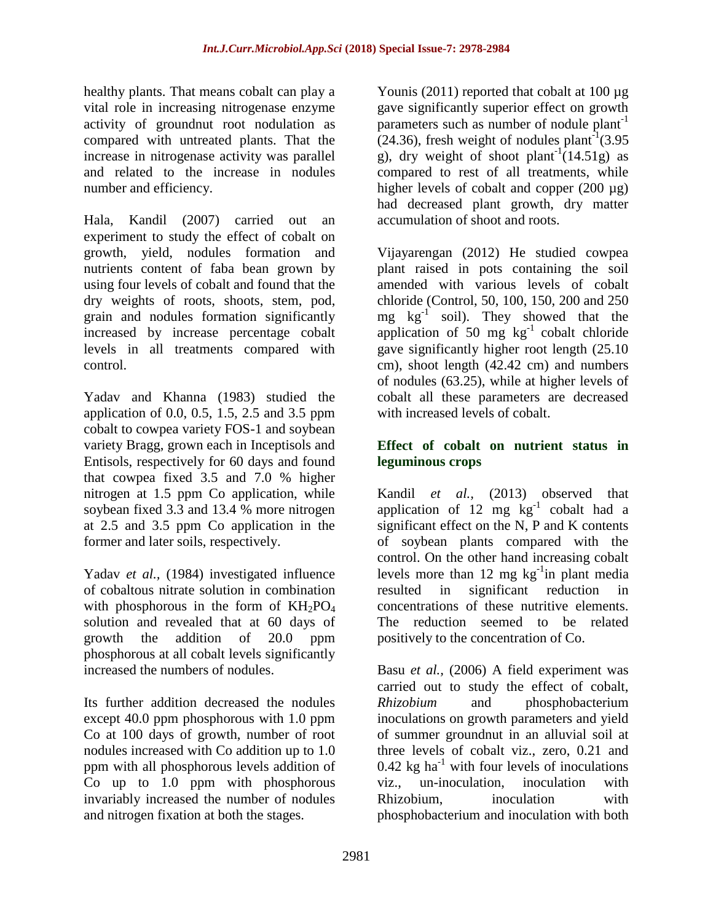healthy plants. That means cobalt can play a vital role in increasing nitrogenase enzyme activity of groundnut root nodulation as compared with untreated plants. That the increase in nitrogenase activity was parallel and related to the increase in nodules number and efficiency.

Hala, Kandil (2007) carried out an experiment to study the effect of cobalt on growth, yield, nodules formation and nutrients content of faba bean grown by using four levels of cobalt and found that the dry weights of roots, shoots, stem, pod, grain and nodules formation significantly increased by increase percentage cobalt levels in all treatments compared with control.

Yadav and Khanna (1983) studied the application of 0.0, 0.5, 1.5, 2.5 and 3.5 ppm cobalt to cowpea variety FOS-1 and soybean variety Bragg, grown each in Inceptisols and Entisols, respectively for 60 days and found that cowpea fixed 3.5 and 7.0 % higher nitrogen at 1.5 ppm Co application, while soybean fixed 3.3 and 13.4 % more nitrogen at 2.5 and 3.5 ppm Co application in the former and later soils, respectively.

Yadav *et al.,* (1984) investigated influence of cobaltous nitrate solution in combination with phosphorous in the form of  $KH_2PO_4$ solution and revealed that at 60 days of growth the addition of 20.0 ppm phosphorous at all cobalt levels significantly increased the numbers of nodules.

Its further addition decreased the nodules except 40.0 ppm phosphorous with 1.0 ppm Co at 100 days of growth, number of root nodules increased with Co addition up to 1.0 ppm with all phosphorous levels addition of Co up to 1.0 ppm with phosphorous invariably increased the number of nodules and nitrogen fixation at both the stages.

Younis (2011) reported that cobalt at 100 µg gave significantly superior effect on growth parameters such as number of nodule plant<sup>-1</sup>  $(24.36)$ , fresh weight of nodules plant<sup>-1</sup> $(3.95)$ g), dry weight of shoot plant<sup>-1</sup>(14.51g) as compared to rest of all treatments, while higher levels of cobalt and copper (200 µg) had decreased plant growth, dry matter accumulation of shoot and roots.

Vijayarengan (2012) He studied cowpea plant raised in pots containing the soil amended with various levels of cobalt chloride (Control, 50, 100, 150, 200 and 250 mg  $kg^{-1}$  soil). They showed that the application of 50 mg  $kg^{-1}$  cobalt chloride gave significantly higher root length (25.10 cm), shoot length (42.42 cm) and numbers of nodules (63.25), while at higher levels of cobalt all these parameters are decreased with increased levels of cobalt.

### **Effect of cobalt on nutrient status in leguminous crops**

Kandil *et al.,* (2013) observed that application of 12 mg  $\text{kg}^{-1}$  cobalt had a significant effect on the N, P and K contents of soybean plants compared with the control. On the other hand increasing cobalt levels more than 12 mg  $kg^{-1}$ in plant media resulted in significant reduction in concentrations of these nutritive elements. The reduction seemed to be related positively to the concentration of Co.

Basu *et al.,* (2006) A field experiment was carried out to study the effect of cobalt, *Rhizobium* and phosphobacterium inoculations on growth parameters and yield of summer groundnut in an alluvial soil at three levels of cobalt viz., zero, 0.21 and 0.42 kg ha<sup>-1</sup> with four levels of inoculations viz., un-inoculation, inoculation with Rhizobium, inoculation with phosphobacterium and inoculation with both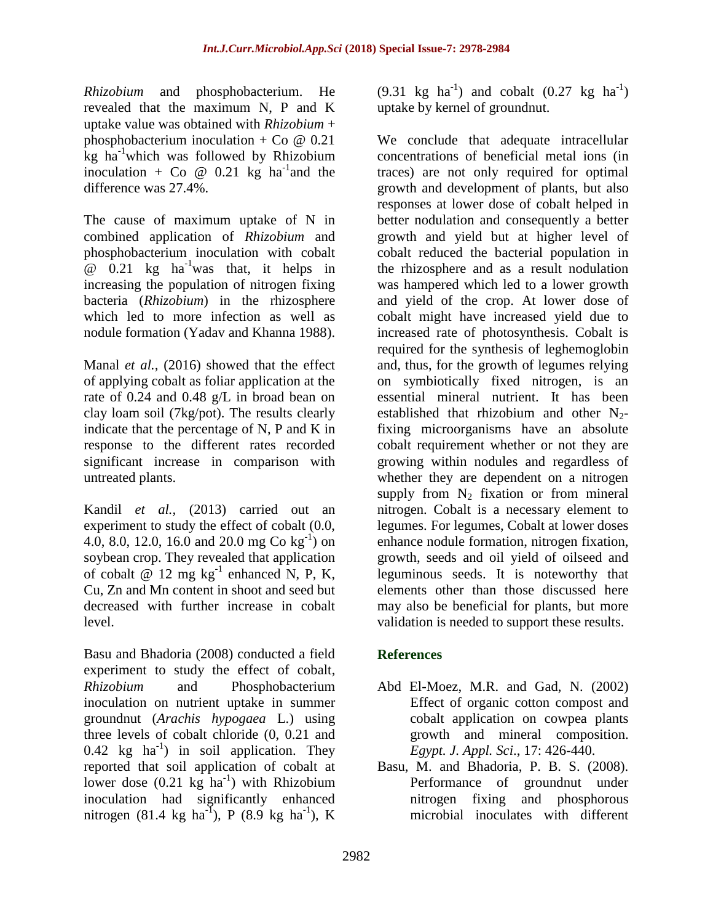*Rhizobium* and phosphobacterium. He revealed that the maximum N, P and K uptake value was obtained with *Rhizobium* + phosphobacterium inoculation + Co  $\omega$  0.21 kg ha<sup>-1</sup>which was followed by Rhizobium inoculation + Co  $\omega$  0.21 kg ha<sup>-1</sup> and the difference was 27.4%.

The cause of maximum uptake of N in combined application of *Rhizobium* and phosphobacterium inoculation with cobalt  $\omega$  0.21 kg ha<sup>-1</sup>was that, it helps in increasing the population of nitrogen fixing bacteria (*Rhizobium*) in the rhizosphere which led to more infection as well as nodule formation (Yadav and Khanna 1988).

Manal *et al.,* (2016) showed that the effect of applying cobalt as foliar application at the rate of 0.24 and 0.48 g/L in broad bean on clay loam soil (7kg/pot). The results clearly indicate that the percentage of N, P and K in response to the different rates recorded significant increase in comparison with untreated plants.

Kandil *et al.,* (2013) carried out an experiment to study the effect of cobalt (0.0, 4.0, 8.0, 12.0, 16.0 and 20.0 mg Co  $kg^{-1}$ ) on soybean crop. They revealed that application of cobalt  $\omega$  12 mg kg<sup>-1</sup> enhanced N, P, K, Cu, Zn and Mn content in shoot and seed but decreased with further increase in cobalt level.

Basu and Bhadoria (2008) conducted a field experiment to study the effect of cobalt, *Rhizobium* and Phosphobacterium inoculation on nutrient uptake in summer groundnut (*Arachis hypogaea* L.) using three levels of cobalt chloride (0, 0.21 and 0.42 kg  $ha^{-1}$ ) in soil application. They reported that soil application of cobalt at lower dose  $(0.21 \text{ kg} \text{ ha}^{-1})$  with Rhizobium inoculation had significantly enhanced nitrogen (81.4 kg ha<sup>-1</sup>), P (8.9 kg ha<sup>-1</sup>), K

 $(9.31 \text{ kg } \text{ha}^{-1})$  and cobalt  $(0.27 \text{ kg } \text{ha}^{-1})$ uptake by kernel of groundnut.

We conclude that adequate intracellular concentrations of beneficial metal ions (in traces) are not only required for optimal growth and development of plants, but also responses at lower dose of cobalt helped in better nodulation and consequently a better growth and yield but at higher level of cobalt reduced the bacterial population in the rhizosphere and as a result nodulation was hampered which led to a lower growth and yield of the crop. At lower dose of cobalt might have increased yield due to increased rate of photosynthesis. Cobalt is required for the synthesis of leghemoglobin and, thus, for the growth of legumes relying on symbiotically fixed nitrogen, is an essential mineral nutrient. It has been established that rhizobium and other  $N_2$ fixing microorganisms have an absolute cobalt requirement whether or not they are growing within nodules and regardless of whether they are dependent on a nitrogen supply from  $N_2$  fixation or from mineral nitrogen. Cobalt is a necessary element to legumes. For legumes, Cobalt at lower doses enhance nodule formation, nitrogen fixation, growth, seeds and oil yield of oilseed and leguminous seeds. It is noteworthy that elements other than those discussed here may also be beneficial for plants, but more validation is needed to support these results.

## **References**

- Abd El-Moez, M.R. and Gad, N. (2002) Effect of organic cotton compost and cobalt application on cowpea plants growth and mineral composition. *Egypt. J. Appl. Sci*., 17: 426-440.
- Basu, M. and Bhadoria, P. B. S. (2008). Performance of groundnut under nitrogen fixing and phosphorous microbial inoculates with different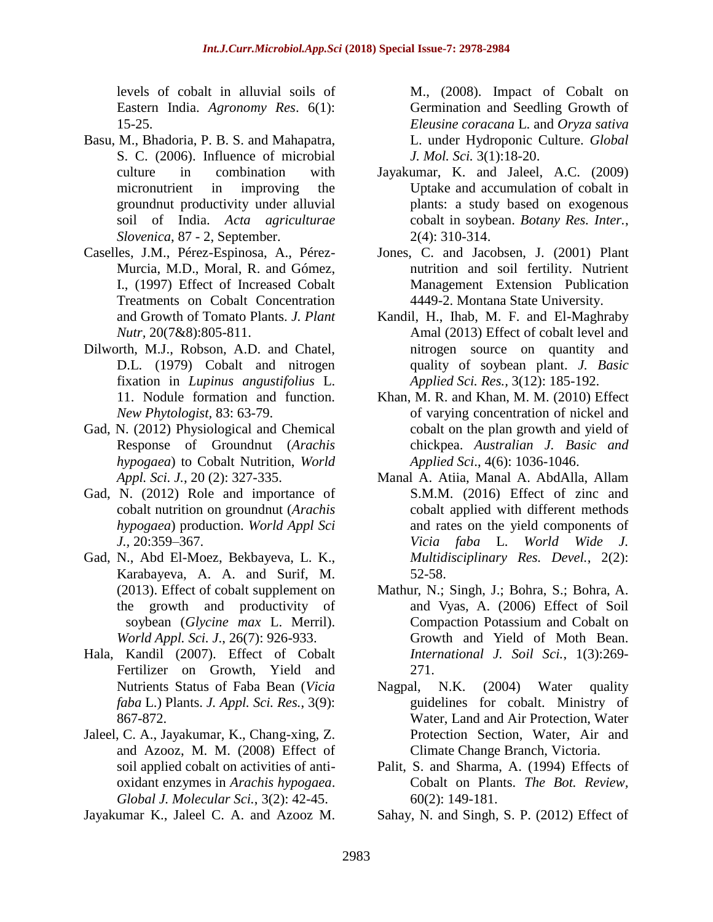levels of cobalt in alluvial soils of Eastern India. *Agronomy Res*. 6(1): 15-25.

- Basu, M., Bhadoria, P. B. S. and Mahapatra, S. C. (2006). Influence of microbial culture in combination with micronutrient in improving the groundnut productivity under alluvial soil of India. *Acta agriculturae Slovenica*, 87 - 2, September.
- Caselles, J.M., Pérez-Espinosa, A., Pérez-Murcia, M.D., Moral, R. and Gómez, I., (1997) Effect of Increased Cobalt Treatments on Cobalt Concentration and Growth of Tomato Plants. *J. Plant Nutr,* 20(7&8):805-811.
- Dilworth, M.J., Robson, A.D. and Chatel, D.L. (1979) Cobalt and nitrogen fixation in *Lupinus angustifolius* L. 11. Nodule formation and function. *New Phytologist,* 83: 63-79.
- Gad, N. (2012) Physiological and Chemical Response of Groundnut (*Arachis hypogaea*) to Cobalt Nutrition, *World Appl. Sci. J.*, 20 (2): 327-335.
- Gad, N. (2012) Role and importance of cobalt nutrition on groundnut (*Arachis hypogaea*) production. *World Appl Sci J.,* 20:359–367.
- Gad, N., Abd El-Moez, Bekbayeva, L. K., Karabayeva, A. A. and Surif, M. (2013). Effect of cobalt supplement on the growth and productivity of soybean (*Glycine max* L. Merril). *World Appl. Sci. J*., 26(7): 926-933.
- Hala, Kandil (2007). Effect of Cobalt Fertilizer on Growth, Yield and Nutrients Status of Faba Bean (*Vicia faba* L.) Plants. *J. Appl. Sci. Res.*, 3(9): 867-872.
- Jaleel, C. A., Jayakumar, K., Chang-xing, Z. and Azooz, M. M. (2008) Effect of soil applied cobalt on activities of antioxidant enzymes in *Arachis hypogaea*. *Global J. Molecular Sci.*, 3(2): 42-45.
- Jayakumar K., Jaleel C. A. and Azooz M.

M., (2008). Impact of Cobalt on Germination and Seedling Growth of *Eleusine coracana* L. and *Oryza sativa*  L. under Hydroponic Culture. *Global J. Mol. Sci.* 3(1):18-20.

- Jayakumar, K. and Jaleel, A.C. (2009) Uptake and accumulation of cobalt in plants: a study based on exogenous cobalt in soybean. *Botany Res. Inter.*, 2(4): 310-314.
- Jones, C. and Jacobsen, J. (2001) Plant nutrition and soil fertility. Nutrient Management Extension Publication 4449-2. Montana State University.
- Kandil, H., Ihab, M. F. and El-Maghraby Amal (2013) Effect of cobalt level and nitrogen source on quantity and quality of soybean plant. *J. Basic Applied Sci. Res.,* 3(12): 185-192.
- Khan, M. R. and Khan, M. M. (2010) Effect of varying concentration of nickel and cobalt on the plan growth and yield of chickpea. *Australian J. Basic and Applied Sci*., 4(6): 1036-1046.
- Manal A. Atiia, Manal A. AbdAlla, Allam S.M.M. (2016) Effect of zinc and cobalt applied with different methods and rates on the yield components of *Vicia faba* L. *World Wide J. Multidisciplinary Res. Devel.*, 2(2): 52-58.
- Mathur, N.; Singh, J.; Bohra, S.; Bohra, A. and Vyas, A. (2006) Effect of Soil Compaction Potassium and Cobalt on Growth and Yield of Moth Bean. *International J. Soil Sci.*, 1(3):269- 271.
- Nagpal, N.K. (2004) Water quality guidelines for cobalt. Ministry of Water, Land and Air Protection, Water Protection Section, Water, Air and Climate Change Branch, Victoria.
- Palit, S. and Sharma, A. (1994) Effects of Cobalt on Plants. *The Bot. Review,*  60(2): 149-181.
- Sahay, N. and Singh, S. P. (2012) Effect of